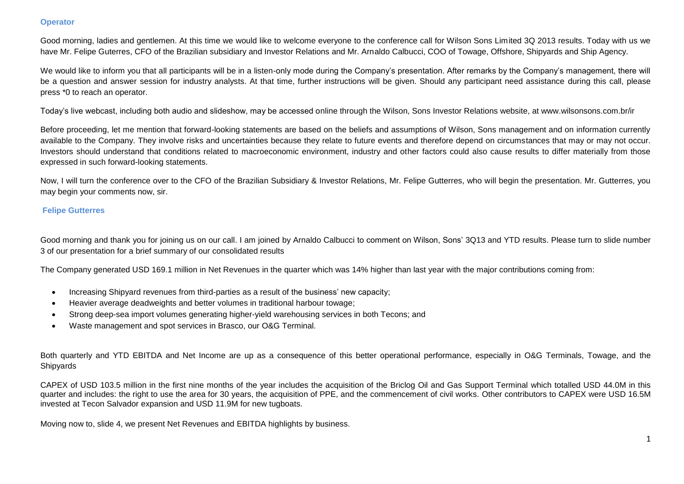# **Operator**

Good morning, ladies and gentlemen. At this time we would like to welcome everyone to the conference call for Wilson Sons Limited 3Q 2013 results. Today with us we have Mr. Felipe Guterres, CFO of the Brazilian subsidiary and Investor Relations and Mr. Arnaldo Calbucci, COO of Towage, Offshore, Shipyards and Ship Agency.

We would like to inform you that all participants will be in a listen-only mode during the Company's presentation. After remarks by the Company's management, there will be a question and answer session for industry analysts. At that time, further instructions will be given. Should any participant need assistance during this call, please press \*0 to reach an operator.

Today's live webcast, including both audio and slideshow, may be accessed online through the Wilson, Sons Investor Relations website, at www.wilsonsons.com.br/ir

Before proceeding, let me mention that forward-looking statements are based on the beliefs and assumptions of Wilson, Sons management and on information currently available to the Company. They involve risks and uncertainties because they relate to future events and therefore depend on circumstances that may or may not occur. Investors should understand that conditions related to macroeconomic environment, industry and other factors could also cause results to differ materially from those expressed in such forward-looking statements.

Now, I will turn the conference over to the CFO of the Brazilian Subsidiary & Investor Relations, Mr. Felipe Gutterres, who will begin the presentation. Mr. Gutterres, you may begin your comments now, sir.

# **Felipe Gutterres**

Good morning and thank you for joining us on our call. I am joined by Arnaldo Calbucci to comment on Wilson, Sons' 3Q13 and YTD results. Please turn to slide number 3 of our presentation for a brief summary of our consolidated results

The Company generated USD 169.1 million in Net Revenues in the quarter which was 14% higher than last year with the major contributions coming from:

- Increasing Shipyard revenues from third-parties as a result of the business' new capacity;
- Heavier average deadweights and better volumes in traditional harbour towage;
- Strong deep-sea import volumes generating higher-yield warehousing services in both Tecons; and
- Waste management and spot services in Brasco, our O&G Terminal.

Both quarterly and YTD EBITDA and Net Income are up as a consequence of this better operational performance, especially in O&G Terminals, Towage, and the Shipyards

CAPEX of USD 103.5 million in the first nine months of the year includes the acquisition of the Briclog Oil and Gas Support Terminal which totalled USD 44.0M in this quarter and includes: the right to use the area for 30 years, the acquisition of PPE, and the commencement of civil works. Other contributors to CAPEX were USD 16.5M invested at Tecon Salvador expansion and USD 11.9M for new tugboats.

Moving now to, slide 4, we present Net Revenues and EBITDA highlights by business.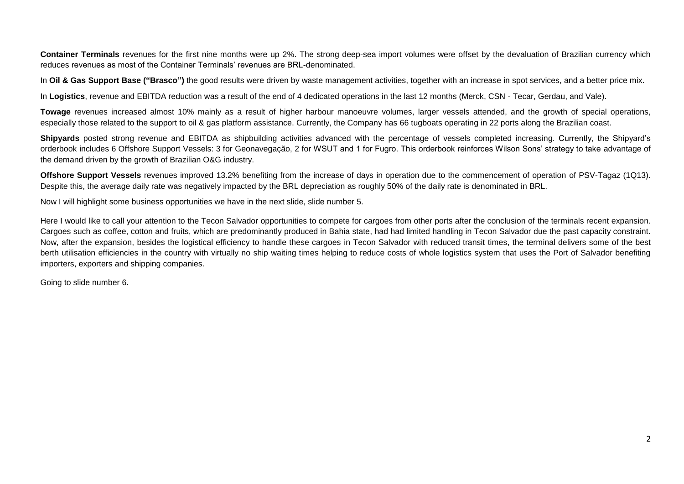Container Terminals revenues for the first nine months were up 2%. The strong deep-sea import volumes were offset by the devaluation of Brazilian currency which reduces revenues as most of the Container Terminals' revenues are BRL-denominated.

In **Oil & Gas Support Base ("Brasco")** the good results were driven by waste management activities, together with an increase in spot services, and a better price mix.

In **Logistics**, revenue and EBITDA reduction was a result of the end of 4 dedicated operations in the last 12 months (Merck, CSN - Tecar, Gerdau, and Vale).

**Towage** revenues increased almost 10% mainly as a result of higher harbour manoeuvre volumes, larger vessels attended, and the growth of special operations, especially those related to the support to oil & gas platform assistance. Currently, the Company has 66 tugboats operating in 22 ports along the Brazilian coast.

**Shipyards** posted strong revenue and EBITDA as shipbuilding activities advanced with the percentage of vessels completed increasing. Currently, the Shipyard's orderbook includes 6 Offshore Support Vessels: 3 for Geonavegação, 2 for WSUT and 1 for Fugro. This orderbook reinforces Wilson Sons' strategy to take advantage of the demand driven by the growth of Brazilian O&G industry.

**Offshore Support Vessels** revenues improved 13.2% benefiting from the increase of days in operation due to the commencement of operation of PSV-Tagaz (1Q13). Despite this, the average daily rate was negatively impacted by the BRL depreciation as roughly 50% of the daily rate is denominated in BRL.

Now I will highlight some business opportunities we have in the next slide, slide number 5.

Here I would like to call your attention to the Tecon Salvador opportunities to compete for cargoes from other ports after the conclusion of the terminals recent expansion. Cargoes such as coffee, cotton and fruits, which are predominantly produced in Bahia state, had had limited handling in Tecon Salvador due the past capacity constraint. Now, after the expansion, besides the logistical efficiency to handle these cargoes in Tecon Salvador with reduced transit times, the terminal delivers some of the best berth utilisation efficiencies in the country with virtually no ship waiting times helping to reduce costs of whole logistics system that uses the Port of Salvador benefiting importers, exporters and shipping companies.

Going to slide number 6.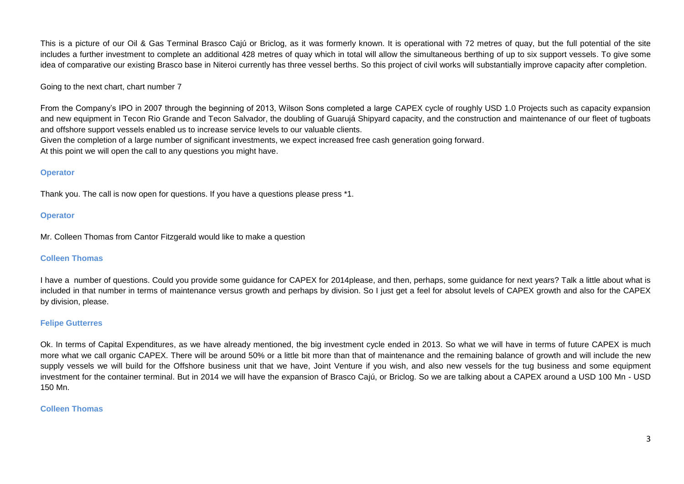This is a picture of our Oil & Gas Terminal Brasco Cajú or Briclog, as it was formerly known. It is operational with 72 metres of quay, but the full potential of the site includes a further investment to complete an additional 428 metres of quay which in total will allow the simultaneous berthing of up to six support vessels. To give some idea of comparative our existing Brasco base in Niteroi currently has three vessel berths. So this project of civil works will substantially improve capacity after completion.

# Going to the next chart, chart number 7

From the Company's IPO in 2007 through the beginning of 2013, Wilson Sons completed a large CAPEX cycle of roughly USD 1.0 Projects such as capacity expansion and new equipment in Tecon Rio Grande and Tecon Salvador, the doubling of Guarujá Shipyard capacity, and the construction and maintenance of our fleet of tugboats and offshore support vessels enabled us to increase service levels to our valuable clients.

Given the completion of a large number of significant investments, we expect increased free cash generation going forward.

At this point we will open the call to any questions you might have.

## **Operator**

Thank you. The call is now open for questions. If you have a questions please press \*1.

## **Operator**

Mr. Colleen Thomas from Cantor Fitzgerald would like to make a question

## **Colleen Thomas**

I have a number of questions. Could you provide some guidance for CAPEX for 2014please, and then, perhaps, some guidance for next years? Talk a little about what is included in that number in terms of maintenance versus growth and perhaps by division. So I just get a feel for absolut levels of CAPEX growth and also for the CAPEX by division, please.

## **Felipe Gutterres**

Ok. In terms of Capital Expenditures, as we have already mentioned, the big investment cycle ended in 2013. So what we will have in terms of future CAPEX is much more what we call organic CAPEX. There will be around 50% or a little bit more than that of maintenance and the remaining balance of growth and will include the new supply vessels we will build for the Offshore business unit that we have. Joint Venture if you wish, and also new vessels for the tug business and some equipment investment for the container terminal. But in 2014 we will have the expansion of Brasco Cajú, or Briclog. So we are talking about a CAPEX around a USD 100 Mn - USD 150 Mn.

## **Colleen Thomas**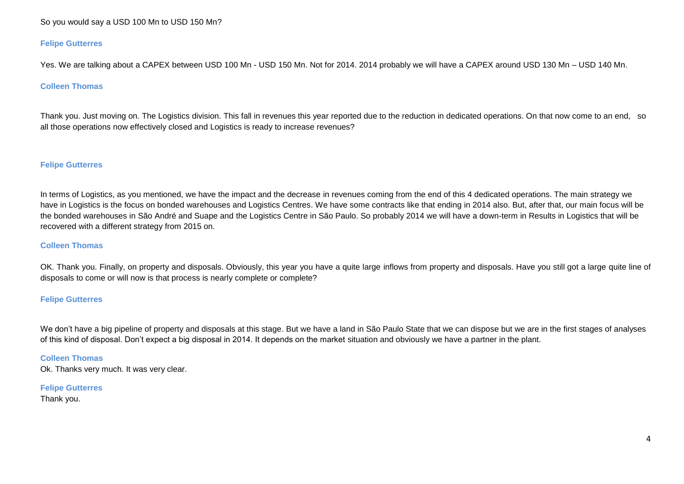# So you would say a USD 100 Mn to USD 150 Mn?

### **Felipe Gutterres**

Yes. We are talking about a CAPEX between USD 100 Mn - USD 150 Mn. Not for 2014. 2014 probably we will have a CAPEX around USD 130 Mn – USD 140 Mn.

### **Colleen Thomas**

Thank you. Just moving on. The Logistics division. This fall in revenues this year reported due to the reduction in dedicated operations. On that now come to an end, so all those operations now effectively closed and Logistics is ready to increase revenues?

#### **Felipe Gutterres**

In terms of Logistics, as you mentioned, we have the impact and the decrease in revenues coming from the end of this 4 dedicated operations. The main strategy we have in Logistics is the focus on bonded warehouses and Logistics Centres. We have some contracts like that ending in 2014 also. But, after that, our main focus will be the bonded warehouses in São André and Suape and the Logistics Centre in São Paulo. So probably 2014 we will have a down-term in Results in Logistics that will be recovered with a different strategy from 2015 on.

#### **Colleen Thomas**

OK. Thank you. Finally, on property and disposals. Obviously, this year you have a quite large inflows from property and disposals. Have you still got a large quite line of disposals to come or will now is that process is nearly complete or complete?

### **Felipe Gutterres**

We don't have a big pipeline of property and disposals at this stage. But we have a land in São Paulo State that we can dispose but we are in the first stages of analyses of this kind of disposal. Don't expect a big disposal in 2014. It depends on the market situation and obviously we have a partner in the plant.

#### **Colleen Thomas**

Ok. Thanks very much. It was very clear.

#### **Felipe Gutterres**

Thank you.